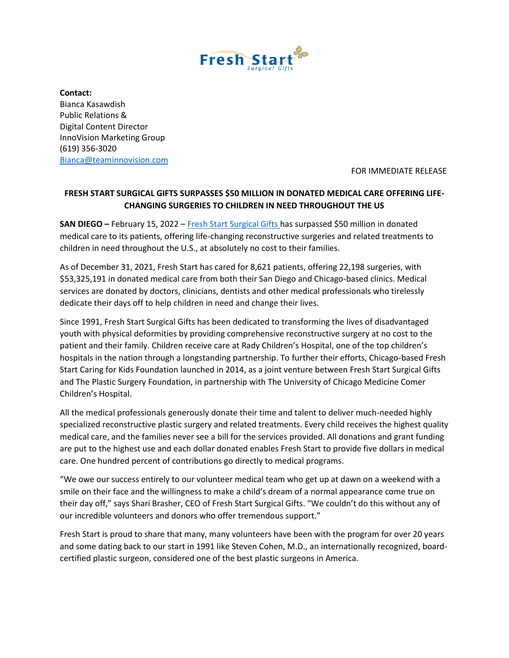

**Contact:**  Bianca Kasawdish Public Relations & Digital Content Director InnoVision Marketing Group (619) 356-3020 [Bianca@teaminnovision.com](mailto:Bianca@teaminnovision.com)

FOR IMMEDIATE RELEASE

## **FRESH START SURGICAL GIFTS SURPASSES \$50 MILLION IN DONATED MEDICAL CARE OFFERING LIFE-CHANGING SURGERIES TO CHILDREN IN NEED THROUGHOUT THE US**

**SAN DIEGO –** February 15, 2022 – [Fresh Start Surgical Gifts](https://www.freshstart.org/) has surpassed \$50 million in donated medical care to its patients, offering life-changing reconstructive surgeries and related treatments to children in need throughout the U.S., at absolutely no cost to their families.

As of December 31, 2021, Fresh Start has cared for 8,621 patients, offering 22,198 surgeries, with \$53,325,191 in donated medical care from both their San Diego and Chicago-based clinics. Medical services are donated by doctors, clinicians, dentists and other medical professionals who tirelessly dedicate their days off to help children in need and change their lives.

Since 1991, Fresh Start Surgical Gifts has been dedicated to transforming the lives of disadvantaged youth with physical deformities by providing comprehensive reconstructive surgery at no cost to the patient and their family. Children receive care at Rady Children's Hospital, one of the top children's hospitals in the nation through a longstanding partnership. To further their efforts, Chicago-based Fresh Start Caring for Kids Foundation launched in 2014, as a joint venture between Fresh Start Surgical Gifts and The Plastic Surgery Foundation, in partnership with The University of Chicago Medicine Comer Children's Hospital.

All the medical professionals generously donate their time and talent to deliver much-needed highly specialized reconstructive plastic surgery and related treatments. Every child receives the highest quality medical care, and the families never see a bill for the services provided. All donations and grant funding are put to the highest use and each dollar donated enables Fresh Start to provide five dollars in medical care. One hundred percent of contributions go directly to medical programs.

"We owe our success entirely to our volunteer medical team who get up at dawn on a weekend with a smile on their face and the willingness to make a child's dream of a normal appearance come true on their day off," says Shari Brasher, CEO of Fresh Start Surgical Gifts. "We couldn't do this without any of our incredible volunteers and donors who offer tremendous support."

Fresh Start is proud to share that many, many volunteers have been with the program for over 20 years and some dating back to our start in 1991 like Steven Cohen, M.D., an internationally recognized, boardcertified plastic surgeon, considered one of the best plastic surgeons in America.